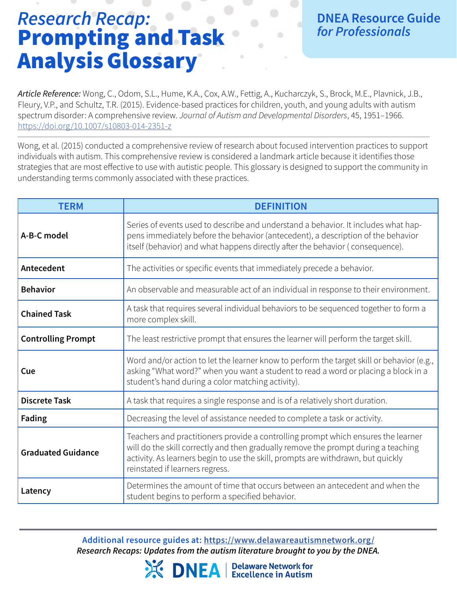## *Research Recap:* Prompting and Task Analysis Glossary

*Article Reference:* Wong, C., Odom, S.L., Hume, K.A., Cox, A.W., Fettig, A., Kucharczyk, S., Brock, M.E., Plavnick, J.B., Fleury, V.P., and Schultz, T.R. (2015). Evidence-based practices for children, youth, and young adults with autism spectrum disorder: A comprehensive review. *Journal of Autism and Developmental Disorders*, 45, 1951–1966. <https://doi.org/10.1007/s10803-014-2351-z>

Wong, et al. (2015) conducted a comprehensive review of research about focused intervention practices to support individuals with autism. This comprehensive review is considered a landmark article because it identifies those strategies that are most effective to use with autistic people. This glossary is designed to support the community in understanding terms commonly associated with these practices.

| <b>TERM</b>               | <b>DEFINITION</b>                                                                                                                                                                                                                                                                              |
|---------------------------|------------------------------------------------------------------------------------------------------------------------------------------------------------------------------------------------------------------------------------------------------------------------------------------------|
| A-B-C model               | Series of events used to describe and understand a behavior. It includes what hap-<br>pens immediately before the behavior (antecedent), a description of the behavior<br>itself (behavior) and what happens directly after the behavior (consequence).                                        |
| Antecedent                | The activities or specific events that immediately precede a behavior.                                                                                                                                                                                                                         |
| <b>Behavior</b>           | An observable and measurable act of an individual in response to their environment.                                                                                                                                                                                                            |
| <b>Chained Task</b>       | A task that requires several individual behaviors to be sequenced together to form a<br>more complex skill.                                                                                                                                                                                    |
| <b>Controlling Prompt</b> | The least restrictive prompt that ensures the learner will perform the target skill.                                                                                                                                                                                                           |
| Cue                       | Word and/or action to let the learner know to perform the target skill or behavior (e.g.,<br>asking "What word?" when you want a student to read a word or placing a block in a<br>student's hand during a color matching activity).                                                           |
| <b>Discrete Task</b>      | A task that requires a single response and is of a relatively short duration.                                                                                                                                                                                                                  |
| <b>Fading</b>             | Decreasing the level of assistance needed to complete a task or activity.                                                                                                                                                                                                                      |
| <b>Graduated Guidance</b> | Teachers and practitioners provide a controlling prompt which ensures the learner<br>will do the skill correctly and then gradually remove the prompt during a teaching<br>activity. As learners begin to use the skill, prompts are withdrawn, but quickly<br>reinstated if learners regress. |
| Latency                   | Determines the amount of time that occurs between an antecedent and when the<br>student begins to perform a specified behavior.                                                                                                                                                                |

Additional resource guides at: https://www.delawareautismnetwork.org/ *Research Recaps: Updates from the autism literature brought to you by the DNEA.*